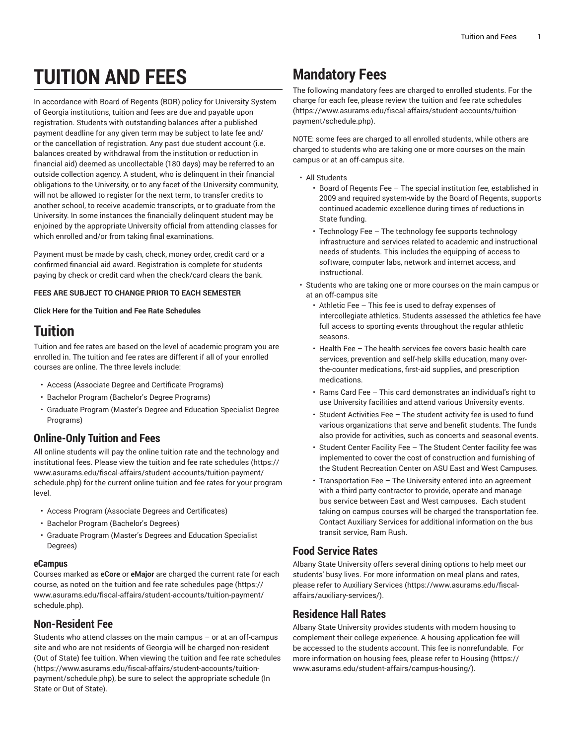# **TUITION AND FEES**

In accordance with Board of Regents (BOR) policy for University System of Georgia institutions, tuition and fees are due and payable upon registration. Students with outstanding balances after a published payment deadline for any given term may be subject to late fee and/ or the cancellation of registration. Any past due student account (i.e. balances created by withdrawal from the institution or reduction in financial aid) deemed as uncollectable (180 days) may be referred to an outside collection agency. A student, who is delinquent in their financial obligations to the University, or to any facet of the University community, will not be allowed to register for the next term, to transfer credits to another school, to receive academic transcripts, or to graduate from the University. In some instances the financially delinquent student may be enjoined by the appropriate University official from attending classes for which enrolled and/or from taking final examinations.

Payment must be made by cash, check, money order, credit card or a confirmed financial aid award. Registration is complete for students paying by check or credit card when the check/card clears the bank.

#### **FEES ARE SUBJECT TO CHANGE PRIOR TO EACH SEMESTER**

**Click Here for the Tuition and Fee Rate Schedules**

### **Tuition**

Tuition and fee rates are based on the level of academic program you are enrolled in. The tuition and fee rates are different if all of your enrolled courses are online. The three levels include:

- Access (Associate Degree and Certificate Programs)
- Bachelor Program (Bachelor's Degree Programs)
- Graduate Program (Master's Degree and Education Specialist Degree Programs)

### **Online-Only Tuition and Fees**

All online students will pay the online tuition rate and the technology and institutional fees. Please view the tuition and fee rate [schedules](https://www.asurams.edu/fiscal-affairs/student-accounts/tuition-payment/schedule.php) ([https://](https://www.asurams.edu/fiscal-affairs/student-accounts/tuition-payment/schedule.php) [www.asurams.edu/fiscal-affairs/student-accounts/tuition-payment/](https://www.asurams.edu/fiscal-affairs/student-accounts/tuition-payment/schedule.php) [schedule.php](https://www.asurams.edu/fiscal-affairs/student-accounts/tuition-payment/schedule.php)) for the current online tuition and fee rates for your program level.

- Access Program (Associate Degrees and Certificates)
- Bachelor Program (Bachelor's Degrees)
- Graduate Program (Master's Degrees and Education Specialist Degrees)

#### **eCampus**

Courses marked as **eCore** or **eMajor** are charged the current rate for each course, as noted on the tuition and fee rate [schedules](https://www.asurams.edu/fiscal-affairs/student-accounts/tuition-payment/schedule.php) page ([https://](https://www.asurams.edu/fiscal-affairs/student-accounts/tuition-payment/schedule.php) [www.asurams.edu/fiscal-affairs/student-accounts/tuition-payment/](https://www.asurams.edu/fiscal-affairs/student-accounts/tuition-payment/schedule.php) [schedule.php](https://www.asurams.edu/fiscal-affairs/student-accounts/tuition-payment/schedule.php)).

### **Non-Resident Fee**

Students who attend classes on the main campus – or at an off-campus site and who are not residents of Georgia will be charged non-resident (Out of State) fee tuition. When viewing the tuition and fee rate [schedules](https://www.asurams.edu/fiscal-affairs/student-accounts/tuition-payment/schedule.php) ([https://www.asurams.edu/fiscal-affairs/student-accounts/tuition](https://www.asurams.edu/fiscal-affairs/student-accounts/tuition-payment/schedule.php)[payment/schedule.php](https://www.asurams.edu/fiscal-affairs/student-accounts/tuition-payment/schedule.php)), be sure to select the appropriate schedule (In State or Out of State).

# **Mandatory Fees**

The following mandatory fees are charged to enrolled students. For the charge for each fee, please review the tuition and fee rate [schedules](https://www.asurams.edu/fiscal-affairs/student-accounts/tuition-payment/schedule.php) [\(https://www.asurams.edu/fiscal-affairs/student-accounts/tuition](https://www.asurams.edu/fiscal-affairs/student-accounts/tuition-payment/schedule.php)[payment/schedule.php](https://www.asurams.edu/fiscal-affairs/student-accounts/tuition-payment/schedule.php)).

NOTE: some fees are charged to all enrolled students, while others are charged to students who are taking one or more courses on the main campus or at an off-campus site.

- All Students
	- Board of Regents Fee The special institution fee, established in 2009 and required system-wide by the Board of Regents, supports continued academic excellence during times of reductions in State funding.
	- Technology Fee The technology fee supports technology infrastructure and services related to academic and instructional needs of students. This includes the equipping of access to software, computer labs, network and internet access, and instructional.
- Students who are taking one or more courses on the main campus or at an off-campus site
	- Athletic Fee This fee is used to defray expenses of intercollegiate athletics. Students assessed the athletics fee have full access to sporting events throughout the regular athletic seasons.
	- Health Fee The health services fee covers basic health care services, prevention and self-help skills education, many overthe-counter medications, first-aid supplies, and prescription medications.
	- Rams Card Fee This card demonstrates an individual's right to use University facilities and attend various University events.
	- Student Activities Fee The student activity fee is used to fund various organizations that serve and benefit students. The funds also provide for activities, such as concerts and seasonal events.
	- Student Center Facility Fee The Student Center facility fee was implemented to cover the cost of construction and furnishing of the Student Recreation Center on ASU East and West Campuses.
	- Transportation Fee The University entered into an agreement with a third party contractor to provide, operate and manage bus service between East and West campuses. Each student taking on campus courses will be charged the transportation fee. Contact Auxiliary Services for additional information on the bus transit service, Ram Rush.

### **Food Service Rates**

Albany State University offers several dining options to help meet our students' busy lives. For more information on meal plans and rates, please refer to [Auxiliary](https://www.asurams.edu/fiscal-affairs/auxiliary-services/) Services ([https://www.asurams.edu/fiscal](https://www.asurams.edu/fiscal-affairs/auxiliary-services/)[affairs/auxiliary-services/](https://www.asurams.edu/fiscal-affairs/auxiliary-services/)).

### **Residence Hall Rates**

Albany State University provides students with modern housing to complement their college experience. A housing application fee will be accessed to the students account. This fee is nonrefundable. For more information on housing fees, please refer to [Housing \(https://](https://www.asurams.edu/student-affairs/campus-housing/) [www.asurams.edu/student-affairs/campus-housing/\)](https://www.asurams.edu/student-affairs/campus-housing/).